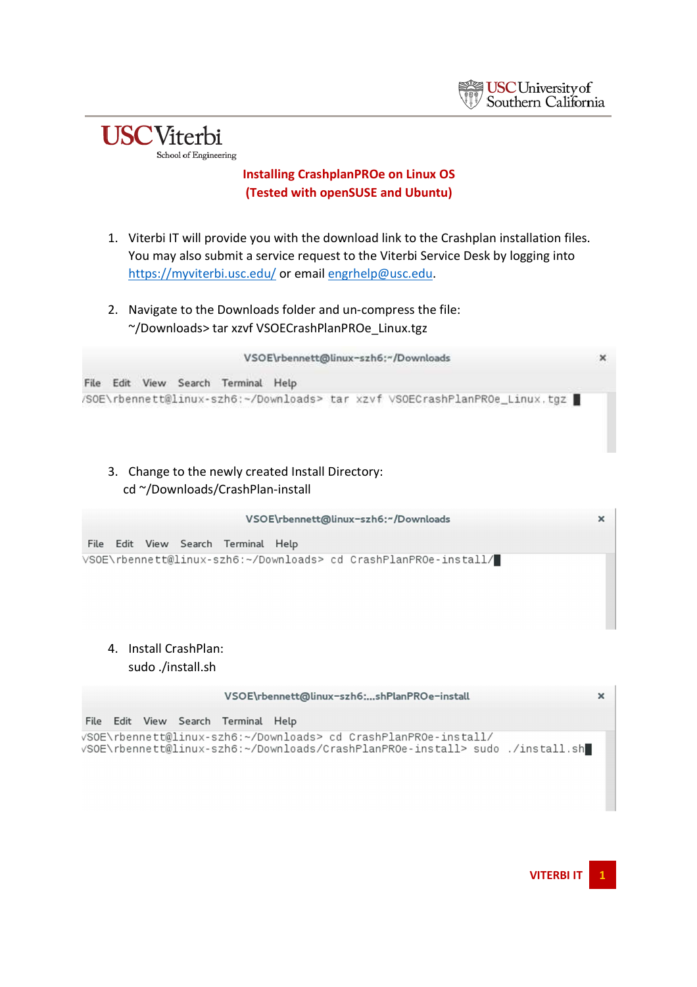



- 1. Viterbi IT will provide you with the download link to the Crashplan installation files. You may also submit a service request to the Viterbi Service Desk by logging into https://myviterbi.usc.edu/ or email engrhelp@usc.edu.
- 2. Navigate to the Downloads folder and un-compress the file: ~/Downloads> tar xzvf VSOECrashPlanPROe\_Linux.tgz



3. Change to the newly created Install Directory: cd ~/Downloads/CrashPlan-install

|  |  |                                     | VSOE\rbennett@linux-szh6:~/Downloads                             |  |
|--|--|-------------------------------------|------------------------------------------------------------------|--|
|  |  | File Edit View Search Terminal Help |                                                                  |  |
|  |  |                                     | VSOE\rbennett@linux-szh6:~/Downloads> cd CrashPlanPROe-install/█ |  |
|  |  |                                     |                                                                  |  |

4. Install CrashPlan: sudo ./install.sh

**USC**Viterbi

School of Engineering

|  |  |                                     | VSOE\rbennett@linux-szh6:shPlanPROe-install                                                                                                      | × |
|--|--|-------------------------------------|--------------------------------------------------------------------------------------------------------------------------------------------------|---|
|  |  | File Edit View Search Terminal Help |                                                                                                                                                  |   |
|  |  |                                     | /SOE\rbennett@linux-szh6:~/Downloads> cd CrashPlanPROe-install<br>√SOE\rbennett@linux-szh6:~/Downloads/CrashPlanPROe-install> sudo ./install.sh∎ |   |

**VITERBI IT 1**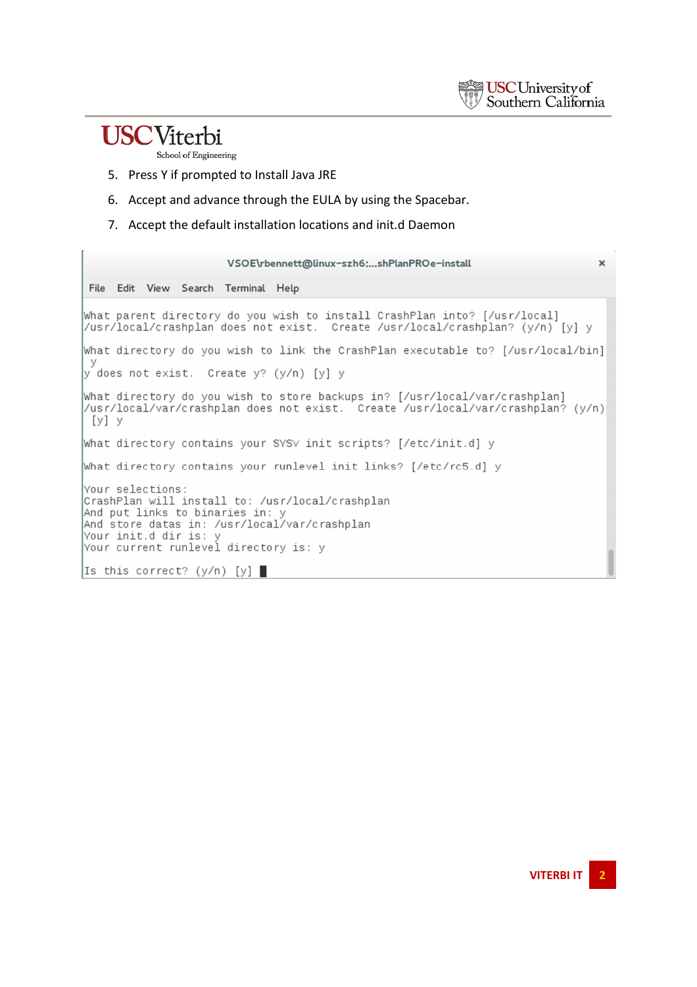

## **USC**Viterbi

School of Engineering

- 5. Press Y if prompted to Install Java JRE
- 6. Accept and advance through the EULA by using the Spacebar.
- 7. Accept the default installation locations and init.d Daemon

| VSOE\rbennett@linux-szh6:shPlanPROe-install<br>$\times$                                                                                                                                                                  |  |
|--------------------------------------------------------------------------------------------------------------------------------------------------------------------------------------------------------------------------|--|
| File Edit View Search Terminal Help                                                                                                                                                                                      |  |
| What parent directory do you wish to install CrashPlan into? [/usr/local]<br> /usr/local/crashplan does not exist.  Create /usr/local/crashplan? (y/n) [y] y                                                             |  |
| What directory do you wish to link the CrashPlan executable to? [/usr/local/bin]                                                                                                                                         |  |
| <b>V</b><br>y does not exist. Create y? (y/n) [y] y                                                                                                                                                                      |  |
| What directory do you wish to store backups in? [/usr/local/var/crashplan]<br> /usr/local/var/crashplan does not exist.  Create /usr/local/var/crashplan? (y/n)<br>[y] y                                                 |  |
| What directory contains your SYSV init scripts? [/etc/init.d] y                                                                                                                                                          |  |
| What directory contains your runlevel init links? [/etc/rc5.d] y                                                                                                                                                         |  |
| Your selections:<br>CrashPlan will install to: /usr/local/crashplan<br>And put links to binaries in: y<br>And store datas in: /usr/local/var/crashplan<br>Your init.d dir is: y<br>Your current runlevel directory is: y |  |
| Is this correct? (y/n) [y] $\blacksquare$                                                                                                                                                                                |  |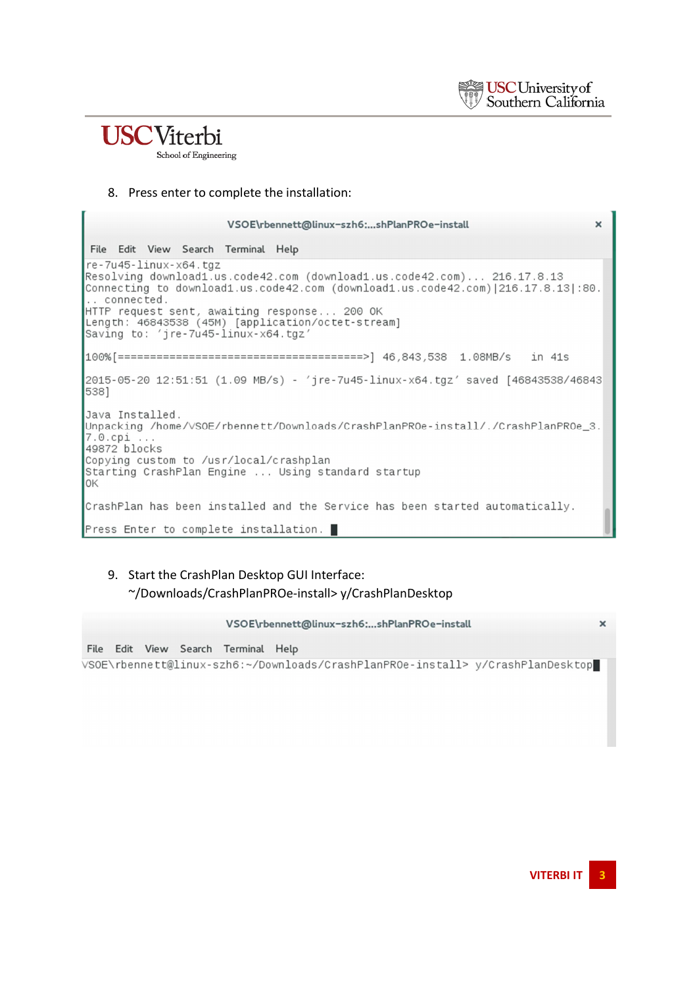

### **USC**Viterbi School of Engineering

#### 8. Press enter to complete the installation:

| VSOE\rbennett@linux-szh6:shPlanPROe-install                                                                                                                                                                                                                                                                                                                 | $\mathbf{x}$ |
|-------------------------------------------------------------------------------------------------------------------------------------------------------------------------------------------------------------------------------------------------------------------------------------------------------------------------------------------------------------|--------------|
| File Edit View Search Terminal Help                                                                                                                                                                                                                                                                                                                         |              |
| re-7u45-linux-x64.tgz<br>Resolving download1.us.code42.com (download1.us.code42.com) 216.17.8.13<br>.60. Connecting to download1.us.code42.com (download1.us.code42.com) 216.17.8.13 <br>$\mathsf{I}$ connected.<br>HTTP request sent, awaiting response 200 OK<br>Length: 46843538 (45M) [application/octet-stream]<br>Saving to: 'jre-7u45-linux-x64.tgz' |              |
|                                                                                                                                                                                                                                                                                                                                                             |              |
| 2015-05-20 12:51:51 (1.09 MB/s) - 'jre-7u45-linux-x64.tgz' saved [46843538/46843]<br>5381                                                                                                                                                                                                                                                                   |              |
| Java Installed.<br> Unpacking /home/VSOE/rbennett/Downloads/CrashPlanPROe-install/./CrashPlanPROe_3.<br>$7.0.cpi$<br>49872 blocks<br>Copying custom to /usr/local/crashplan<br>Starting CrashPlan Engine  Using standard startup<br>IOK                                                                                                                     |              |
| CrashPlan has been installed and the Service has been started automatically.                                                                                                                                                                                                                                                                                |              |
| Press Enter to complete installation. ■                                                                                                                                                                                                                                                                                                                     |              |

#### 9. Start the CrashPlan Desktop GUI Interface: ~/Downloads/CrashPlanPROe-install> y/CrashPlanDesktop

|                                     | VSOE\rbennett@linux-szh6:shPlanPROe-install                                     | $\times$ |
|-------------------------------------|---------------------------------------------------------------------------------|----------|
| File Edit View Search Terminal Help |                                                                                 |          |
|                                     | VSOE\rbennett@linux-szh6:~/Downloads/CrashPlanPROe-install> y/CrashPlanDesktop∎ |          |
|                                     |                                                                                 |          |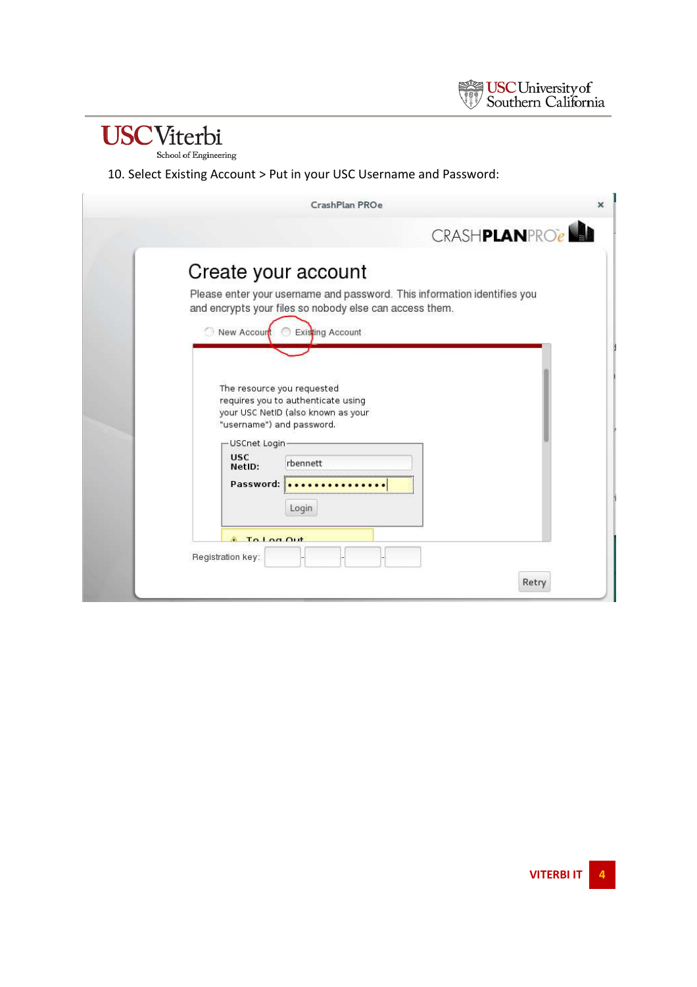

10. Select Existing Account > Put in your USC Username and Password:

| CrashPlan PROe                                                                                                                                                                                                                                                                                                                                                                                                                | $\boldsymbol{\times}$ |
|-------------------------------------------------------------------------------------------------------------------------------------------------------------------------------------------------------------------------------------------------------------------------------------------------------------------------------------------------------------------------------------------------------------------------------|-----------------------|
|                                                                                                                                                                                                                                                                                                                                                                                                                               | CRASHPLANPROCH        |
| Create your account<br>Please enter your username and password. This information identifies you<br>and encrypts your files so nobody else can access them.<br>Existing Account<br>New Accourt<br>The resource you requested<br>requires you to authenticate using<br>your USC NetID (also known as your<br>"username") and password.<br>USCnet Login-<br><b>USC</b><br>rbennett<br>NetID:<br>Password:<br>Login<br>To Log Out |                       |
| Registration key:                                                                                                                                                                                                                                                                                                                                                                                                             |                       |
|                                                                                                                                                                                                                                                                                                                                                                                                                               | Retry                 |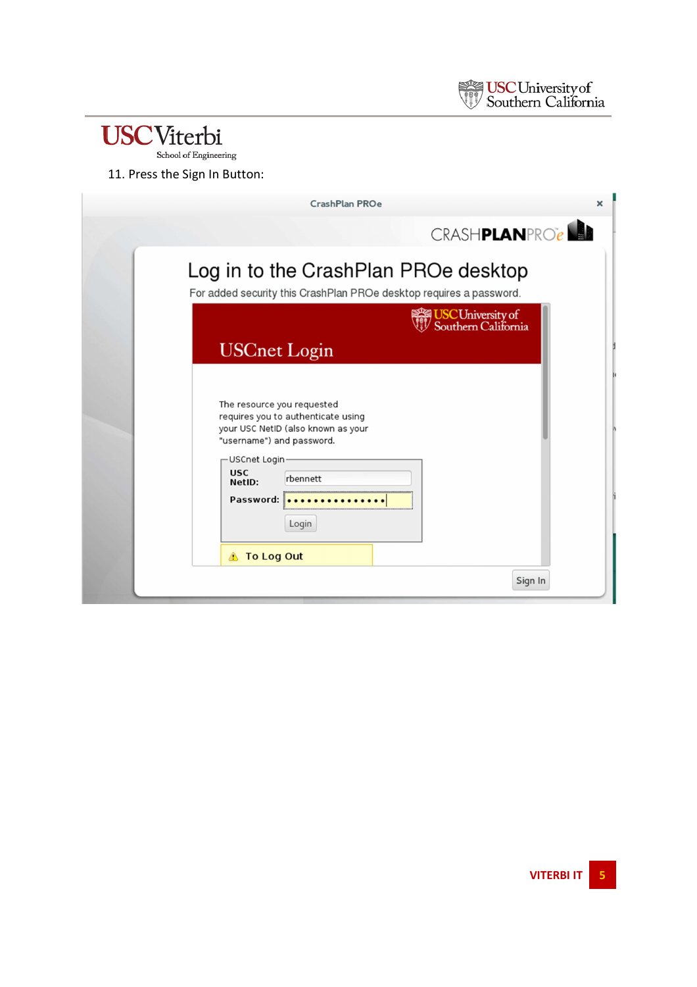

# $\textbf{USCV} \label{eq:USCV} \textbf{t} \textbf{c} \textbf{r} \textbf{b} \textbf{i} \textbf{c} \textbf{c} \textbf{b} \textbf{c} \textbf{c} \textbf{b} \textbf{c} \textbf{c} \textbf{b} \textbf{c} \textbf{c} \textbf{c} \textbf{b} \textbf{c} \textbf{c} \textbf{c} \textbf{b} \textbf{c} \textbf{c} \textbf{c} \textbf{b} \textbf{c} \textbf{c} \textbf{c} \textbf{c} \textbf{c} \textbf{c} \textbf{c} \textbf{c}$

#### 11. Press the Sign In Button:

| CrashPlan PROe                                                                                                                                                                            |                                                                                                             | ×       |
|-------------------------------------------------------------------------------------------------------------------------------------------------------------------------------------------|-------------------------------------------------------------------------------------------------------------|---------|
|                                                                                                                                                                                           | <b>CRASHPLANPROCALL</b>                                                                                     |         |
|                                                                                                                                                                                           | Log in to the CrashPlan PROe desktop<br>For added security this CrashPlan PROe desktop requires a password. |         |
| <b>USCnet Login</b>                                                                                                                                                                       | <b>USC University of</b><br>Southern California                                                             |         |
| The resource you requested<br>requires you to authenticate using<br>your USC NetID (also known as your<br>"username") and password.<br>-USCnet Login-<br><b>USC</b><br>rbennett<br>NetID: |                                                                                                             |         |
| Password:<br>Login<br><b>1</b> To Log Out                                                                                                                                                 |                                                                                                             |         |
|                                                                                                                                                                                           |                                                                                                             | Sign In |